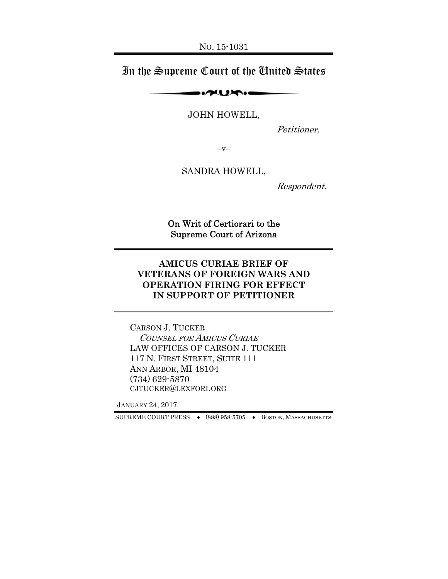# In the Supreme Court of the United States

 $\sim$ 

JOHN HOWELL,

Petitioner,

 $-V-$ 

SANDRA HOWELL,

Respondent.

On Writ of Certiorari to the Supreme Court of Arizona

#### **AMICUS CURIAE BRIEF OF VETERANS OF FOREIGN WARS AND OPERATION FIRING FOR EFFECT IN SUPPORT OF PETITIONER**

CARSON J. TUCKER COUNSEL FOR AMICUS CURIAE LAW OFFICES OF CARSON J. TUCKER 117 N. FIRST STREET, SUITE 111 ANN ARBOR, MI 48104 (734) 629-5870 CJTUCKER@LEXFORI.ORG

JANUARY 24, 2017

SUPREME COURT PRESS ♦ (888) 958-5705 ♦ BOSTON, MASSACHUSETTS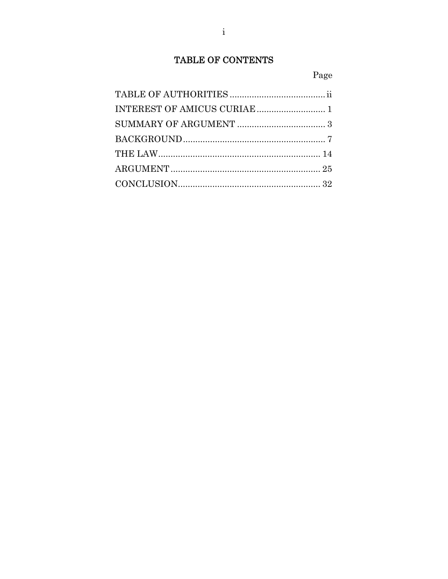# TABLE OF CONTENTS

## Page

| INTEREST OF AMICUS CURIAE  1 |  |
|------------------------------|--|
|                              |  |
|                              |  |
|                              |  |
|                              |  |
|                              |  |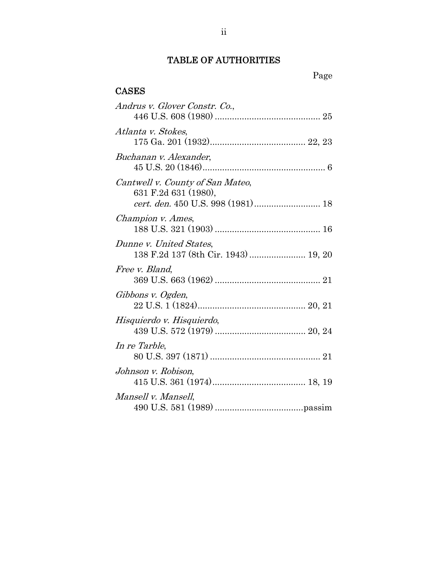# TABLE OF AUTHORITIES

#### **CASES**

| Andrus v. Glover Constr. Co.,                                   |
|-----------------------------------------------------------------|
| Atlanta v. Stokes,                                              |
| Buchanan v. Alexander,                                          |
| Cantwell v. County of San Mateo,<br>631 F.2d 631 (1980),        |
| Champion v. Ames,                                               |
| Dunne v. United States,<br>138 F.2d 137 (8th Cir. 1943)  19, 20 |
| Free v. Bland,                                                  |
| Gibbons v. Ogden,                                               |
| Hisquierdo v. Hisquierdo,                                       |
| In re Tarble,                                                   |
| Johnson v. Robison,                                             |
| Mansell v. Mansell,                                             |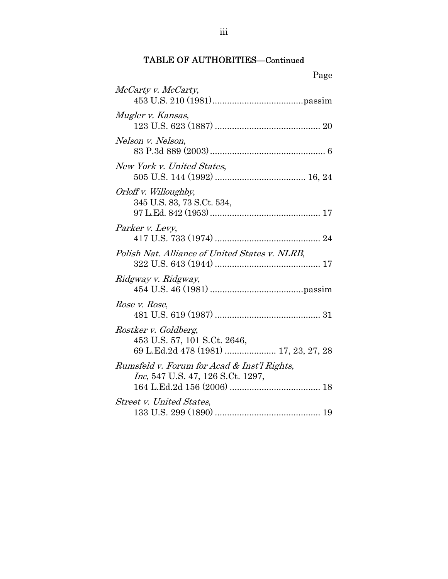|                            | Page |
|----------------------------|------|
| <i>McCarty v. McCarty,</i> |      |
| Mugler y Kansas            |      |

| Mugler v. Kansas,                                                                             |
|-----------------------------------------------------------------------------------------------|
|                                                                                               |
| Nelson v. Nelson,                                                                             |
| New York v. United States,                                                                    |
| Orloff v. Willoughby,<br>345 U.S. 83, 73 S.Ct. 534,                                           |
| Parker v. Levy,                                                                               |
| Polish Nat. Alliance of United States v. NLRB,                                                |
| Ridgway v. Ridgway,                                                                           |
| Rose v. Rose,                                                                                 |
| Rostker v. Goldberg,<br>453 U.S. 57, 101 S.Ct. 2646,<br>69 L.Ed.2d 478 (1981)  17, 23, 27, 28 |
| Rumsfeld v. Forum for Acad & Inst'l Rights,<br><i>Inc</i> , 547 U.S. 47, 126 S.Ct. 1297,      |
| <b>Street v. United States,</b>                                                               |

133 U.S. 299 (1890) ........................................... 19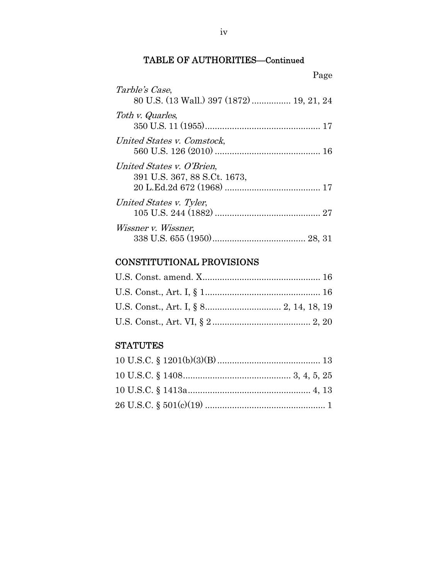|                                                             | Page |
|-------------------------------------------------------------|------|
| Tarble's Case,<br>80 U.S. (13 Wall.) 397 (1872)  19, 21, 24 |      |
| Toth v. Quarles,                                            |      |
| United States v. Comstock,                                  |      |
| United States v. O'Brien,<br>391 U.S. 367, 88 S.Ct. 1673,   |      |
| United States v. Tyler,                                     |      |
| <i>Wissner v. Wissner,</i>                                  |      |

# CONSTITUTIONAL PROVISIONS

# **STATUTES**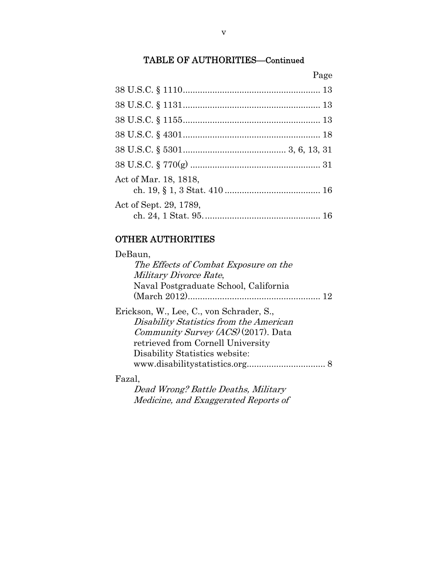Page

# OTHER AUTHORITIES

| DeBaun,                                  |     |
|------------------------------------------|-----|
| The Effects of Combat Exposure on the    |     |
| <i>Military Divorce Rate,</i>            |     |
| Naval Postgraduate School, California    |     |
|                                          | 19. |
| Erickson, W., Lee, C., von Schrader, S., |     |
| Disability Statistics from the American  |     |
| Community Survey (ACS) (2017). Data      |     |
| retrieved from Cornell University        |     |
| Disability Statistics website:           |     |
|                                          |     |
| $D_{2} = -1$                             |     |

#### Fazal,

Dead Wrong? Battle Deaths, Military Medicine, and Exaggerated Reports of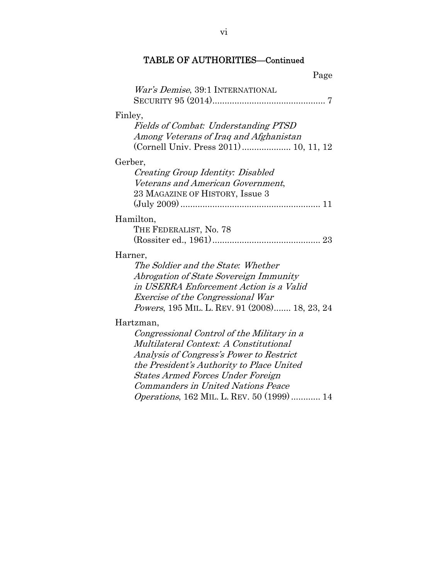| Page                                                                                                                                                                                                                                                                                                                                      |
|-------------------------------------------------------------------------------------------------------------------------------------------------------------------------------------------------------------------------------------------------------------------------------------------------------------------------------------------|
| War's Demise, 39:1 INTERNATIONAL                                                                                                                                                                                                                                                                                                          |
| Finley,<br><b>Fields of Combat: Understanding PTSD</b><br>Among Veterans of Iraq and Afghanistan<br>(Cornell Univ. Press 2011) 10, 11, 12                                                                                                                                                                                                 |
| Gerber,<br>Creating Group Identity: Disabled<br>Veterans and American Government,<br>23 MAGAZINE OF HISTORY, Issue 3                                                                                                                                                                                                                      |
| Hamilton,<br>THE FEDERALIST, No. 78                                                                                                                                                                                                                                                                                                       |
| Harner,<br>The Soldier and the State: Whether<br>Abrogation of State Sovereign Immunity<br>in USERRA Enforcement Action is a Valid<br><b>Exercise of the Congressional War</b><br><i>Powers</i> , 195 MIL. L. REV. 91 (2008) 18, 23, 24                                                                                                   |
| Hartzman,<br>Congressional Control of the Military in a<br>Multilateral Context: A Constitutional<br>Analysis of Congress's Power to Restrict<br>the President's Authority to Place United<br><b>States Armed Forces Under Foreign</b><br><b>Commanders in United Nations Peace</b><br><i>Operations</i> , 162 MIL. L. REV. 50 (1999)  14 |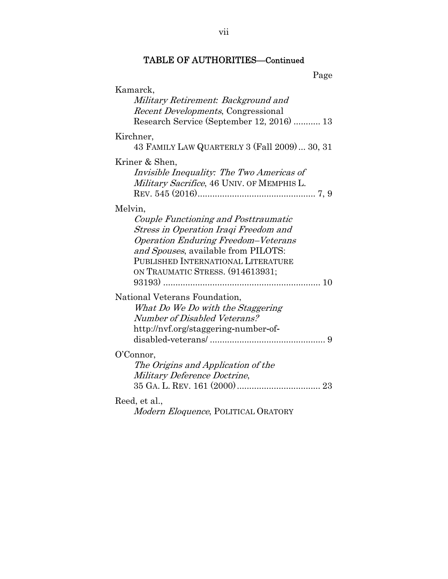| Kamarck,<br>Military Retirement: Background and<br><i>Recent Developments</i> , Congressional<br>Research Service (September 12, 2016)  13                                                                                                                     |
|----------------------------------------------------------------------------------------------------------------------------------------------------------------------------------------------------------------------------------------------------------------|
| Kirchner,<br>43 FAMILY LAW QUARTERLY 3 (Fall 2009) 30, 31                                                                                                                                                                                                      |
| Kriner & Shen,<br>Invisible Inequality: The Two Americas of<br>Military Sacrifice, 46 UNIV. OF MEMPHIS L.                                                                                                                                                      |
| Melvin,<br>Couple Functioning and Posttraumatic<br><b>Stress in Operation Iraqi Freedom and</b><br><b>Operation Enduring Freedom-Veterans</b><br>and Spouses, available from PILOTS:<br>PUBLISHED INTERNATIONAL LITERATURE<br>ON TRAUMATIC STRESS. (914613931; |
| National Veterans Foundation,<br>What Do We Do with the Staggering<br>Number of Disabled Veterans?<br>http://nvf.org/staggering-number-of-                                                                                                                     |
| O'Connor,<br>The Origins and Application of the<br>Military Deference Doctrine,                                                                                                                                                                                |
| Reed, et al.,<br>Modern Eloquence, POLITICAL ORATORY                                                                                                                                                                                                           |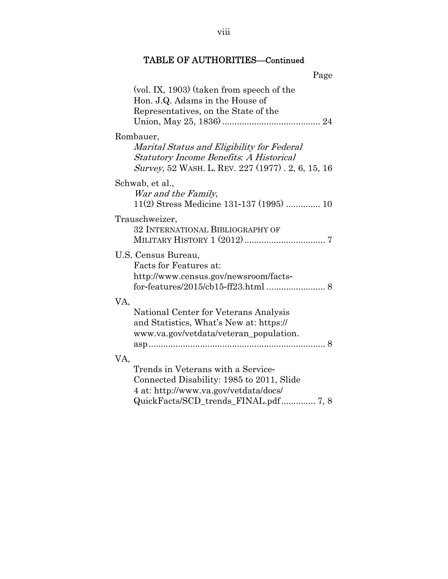|                                                                                                                                                                | Page |
|----------------------------------------------------------------------------------------------------------------------------------------------------------------|------|
| $\left(\text{vol. IX}, 1903\right)$ (taken from speech of the<br>Hon. J.Q. Adams in the House of<br>Representatives, on the State of the                       |      |
| Rombauer,<br>Marital Status and Eligibility for Federal<br><b>Statutory Income Benefits: A Historical</b><br>Survey, 52 WASH. L. REV. 227 (1977). 2, 6, 15, 16 |      |
| Schwab, et al.,<br>War and the Family,<br>11(2) Stress Medicine 131-137 (1995)  10                                                                             |      |
| Trauschweizer,<br>32 INTERNATIONAL BIBLIOGRAPHY OF                                                                                                             |      |
| U.S. Census Bureau,<br>Facts for Features at:<br>http://www.census.gov/newsroom/facts-                                                                         |      |
| VA,<br>National Center for Veterans Analysis<br>and Statistics, What's New at: https://<br>www.va.gov/vetdata/veteran_population.                              | 8    |
| VA,<br>Trends in Veterans with a Service-<br>Connected Disability: 1985 to 2011, Slide<br>4 at: http://www.va.gov/vetdata/docs/                                |      |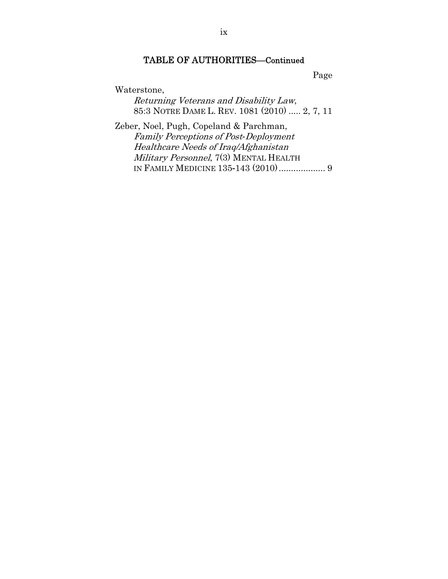Page

Waterstone,

Returning Veterans and Disability Law, 85:3 NOTRE DAME L. REV. 1081 (2010) ..... 2, 7, 11

Zeber, Noel, Pugh, Copeland & Parchman, Family Perceptions of Post*-*Deployment Healthcare Needs of Iraq/Afghanistan Military Personnel, 7(3) MENTAL HEALTH IN FAMILY MEDICINE 135-143 (2010) ................... 9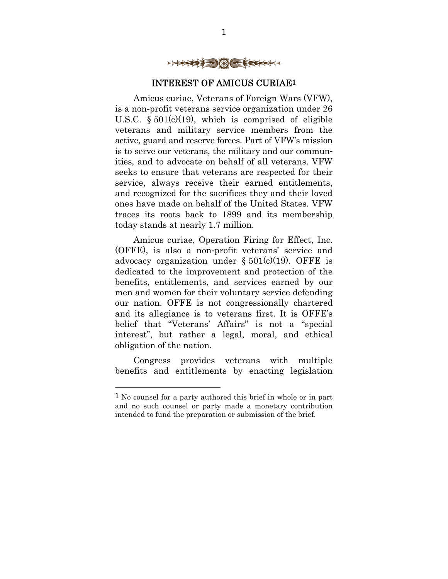

### INTEREST OF AMICUS CURIAE1

Amicus curiae, Veterans of Foreign Wars (VFW), is a non-profit veterans service organization under 26 U.S.C.  $\S 501(c)(19)$ , which is comprised of eligible veterans and military service members from the active, guard and reserve forces. Part of VFW's mission is to serve our veterans, the military and our communities, and to advocate on behalf of all veterans. VFW seeks to ensure that veterans are respected for their service, always receive their earned entitlements, and recognized for the sacrifices they and their loved ones have made on behalf of the United States. VFW traces its roots back to 1899 and its membership today stands at nearly 1.7 million.

Amicus curiae, Operation Firing for Effect, Inc. (OFFE), is also a non-profit veterans' service and advocacy organization under  $\S 501(c)(19)$ . OFFE is dedicated to the improvement and protection of the benefits, entitlements, and services earned by our men and women for their voluntary service defending our nation. OFFE is not congressionally chartered and its allegiance is to veterans first. It is OFFE's belief that "Veterans' Affairs" is not a "special interest", but rather a legal, moral, and ethical obligation of the nation.

Congress provides veterans with multiple benefits and entitlements by enacting legislation

-

<sup>1</sup> No counsel for a party authored this brief in whole or in part and no such counsel or party made a monetary contribution intended to fund the preparation or submission of the brief.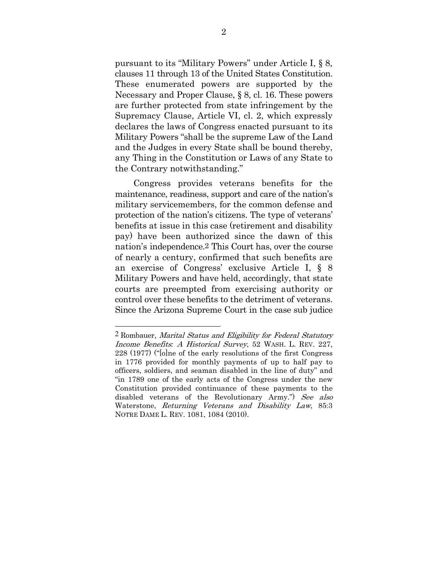pursuant to its "Military Powers" under Article I, § 8, clauses 11 through 13 of the United States Constitution. These enumerated powers are supported by the Necessary and Proper Clause, § 8, cl. 16. These powers are further protected from state infringement by the Supremacy Clause, Article VI, cl. 2, which expressly declares the laws of Congress enacted pursuant to its Military Powers "shall be the supreme Law of the Land and the Judges in every State shall be bound thereby, any Thing in the Constitution or Laws of any State to the Contrary notwithstanding."

Congress provides veterans benefits for the maintenance, readiness, support and care of the nation's military servicemembers, for the common defense and protection of the nation's citizens. The type of veterans' benefits at issue in this case (retirement and disability pay) have been authorized since the dawn of this nation's independence.2 This Court has, over the course of nearly a century, confirmed that such benefits are an exercise of Congress' exclusive Article I, § 8 Military Powers and have held, accordingly, that state courts are preempted from exercising authority or control over these benefits to the detriment of veterans. Since the Arizona Supreme Court in the case sub judice

<sup>2</sup> Rombauer, Marital Status and Eligibility for Federal Statutory Income Benefits*:* A Historical Survey, 52 WASH. L. REV. 227, 228 (1977) ("[o]ne of the early resolutions of the first Congress in 1776 provided for monthly payments of up to half pay to officers, soldiers, and seaman disabled in the line of duty" and "in 1789 one of the early acts of the Congress under the new Constitution provided continuance of these payments to the disabled veterans of the Revolutionary Army.") See also Waterstone, Returning Veterans and Disability Law, 85:3 NOTRE DAME L. REV. 1081, 1084 (2010).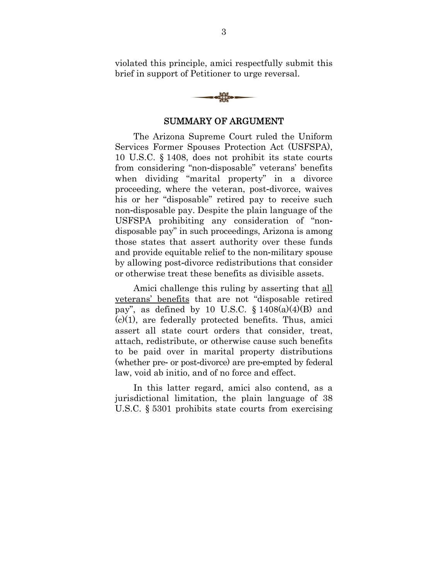violated this principle, amici respectfully submit this brief in support of Petitioner to urge reversal.



#### SUMMARY OF ARGUMENT

The Arizona Supreme Court ruled the Uniform Services Former Spouses Protection Act (USFSPA), 10 U.S.C. § 1408, does not prohibit its state courts from considering "non-disposable" veterans' benefits when dividing "marital property" in a divorce proceeding, where the veteran, post-divorce, waives his or her "disposable" retired pay to receive such non-disposable pay. Despite the plain language of the USFSPA prohibiting any consideration of "nondisposable pay" in such proceedings, Arizona is among those states that assert authority over these funds and provide equitable relief to the non-military spouse by allowing post-divorce redistributions that consider or otherwise treat these benefits as divisible assets.

Amici challenge this ruling by asserting that all veterans' benefits that are not "disposable retired pay", as defined by 10 U.S.C.  $\S$  1408(a)(4)(B) and  $(c)(1)$ , are federally protected benefits. Thus, amici assert all state court orders that consider, treat, attach, redistribute, or otherwise cause such benefits to be paid over in marital property distributions (whether pre- or post-divorce) are pre-empted by federal law, void ab initio, and of no force and effect.

In this latter regard, amici also contend, as a jurisdictional limitation, the plain language of 38 U.S.C. § 5301 prohibits state courts from exercising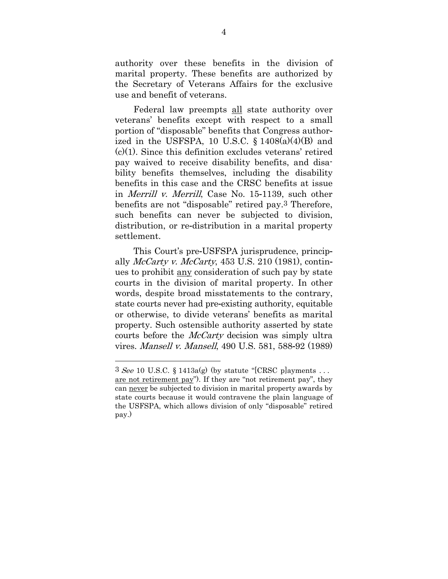authority over these benefits in the division of marital property. These benefits are authorized by the Secretary of Veterans Affairs for the exclusive use and benefit of veterans.

Federal law preempts all state authority over veterans' benefits except with respect to a small portion of "disposable" benefits that Congress authorized in the USFSPA, 10 U.S.C.  $\S 1408(a)(4)(B)$  and (c)(1). Since this definition excludes veterans' retired pay waived to receive disability benefits, and disability benefits themselves, including the disability benefits in this case and the CRSC benefits at issue in Merrill v. Merrill, Case No. 15-1139, such other benefits are not "disposable" retired pay.3 Therefore, such benefits can never be subjected to division, distribution, or re-distribution in a marital property settlement.

This Court's pre-USFSPA jurisprudence, principally  $McCartv$  v.  $McCartv$ , 453 U.S. 210 (1981), continues to prohibit any consideration of such pay by state courts in the division of marital property. In other words, despite broad misstatements to the contrary, state courts never had pre-existing authority, equitable or otherwise, to divide veterans' benefits as marital property. Such ostensible authority asserted by state courts before the *McCarty* decision was simply ultra vires. Mansell v. Mansell, 490 U.S. 581, 588-92 (1989)

 $3 \text{ See } 10 \text{ U.S.C. } \S 1413a(g)$  (by statute "[CRSC p]ayments ... are not retirement pay"). If they are "not retirement pay", they can never be subjected to division in marital property awards by state courts because it would contravene the plain language of the USFSPA, which allows division of only "disposable" retired pay.)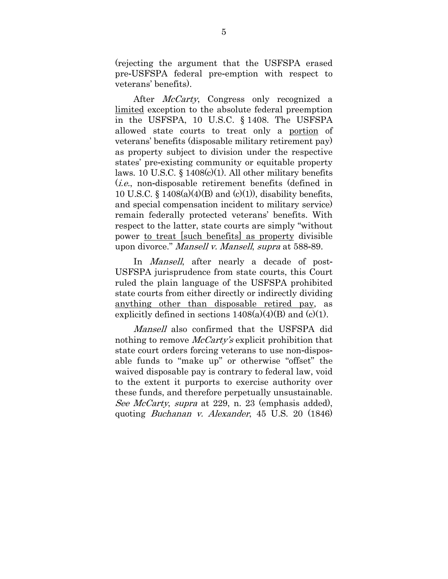(rejecting the argument that the USFSPA erased pre-USFSPA federal pre-emption with respect to veterans' benefits).

After *McCarty*, Congress only recognized a limited exception to the absolute federal preemption in the USFSPA, 10 U.S.C. § 1408. The USFSPA allowed state courts to treat only a portion of veterans' benefits (disposable military retirement pay) as property subject to division under the respective states' pre-existing community or equitable property laws. 10 U.S.C.  $\frac{1408(c)}{1}$ . All other military benefits (i.e., non-disposable retirement benefits (defined in 10 U.S.C. §  $1408(a)(4)(B)$  and (c)(1)), disability benefits, and special compensation incident to military service) remain federally protected veterans' benefits. With respect to the latter, state courts are simply "without power to treat [such benefits] as property divisible upon divorce." Mansell v. Mansell, supra at 588-89.

In *Mansell*, after nearly a decade of post-USFSPA jurisprudence from state courts, this Court ruled the plain language of the USFSPA prohibited state courts from either directly or indirectly dividing anything other than disposable retired pay, as explicitly defined in sections  $1408(a)(4)(B)$  and  $(c)(1)$ .

Mansell also confirmed that the USFSPA did nothing to remove *McCarty's* explicit prohibition that state court orders forcing veterans to use non-disposable funds to "make up" or otherwise "offset" the waived disposable pay is contrary to federal law, void to the extent it purports to exercise authority over these funds, and therefore perpetually unsustainable. See McCarty, supra at 229, n. 23 (emphasis added), quoting Buchanan v. Alexander, 45 U.S. 20 (1846)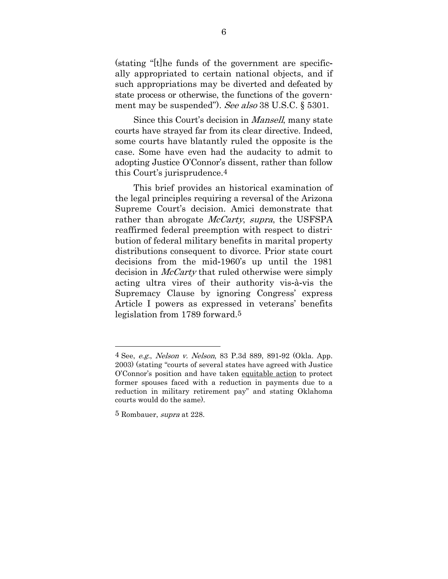(stating "[t]he funds of the government are specifically appropriated to certain national objects, and if such appropriations may be diverted and defeated by state process or otherwise, the functions of the government may be suspended"). See also 38 U.S.C. § 5301.

Since this Court's decision in *Mansell*, many state courts have strayed far from its clear directive. Indeed, some courts have blatantly ruled the opposite is the case. Some have even had the audacity to admit to adopting Justice O'Connor's dissent, rather than follow this Court's jurisprudence.4

This brief provides an historical examination of the legal principles requiring a reversal of the Arizona Supreme Court's decision. Amici demonstrate that rather than abrogate *McCarty*, supra, the USFSPA reaffirmed federal preemption with respect to distribution of federal military benefits in marital property distributions consequent to divorce. Prior state court decisions from the mid-1960's up until the 1981 decision in *McCarty* that ruled otherwise were simply acting ultra vires of their authority vis-à-vis the Supremacy Clause by ignoring Congress' express Article I powers as expressed in veterans' benefits legislation from 1789 forward.5

<sup>4</sup> See, e.g., Nelson v. Nelson, 83 P.3d 889, 891-92 (Okla. App. 2003) (stating "courts of several states have agreed with Justice O'Connor's position and have taken equitable action to protect former spouses faced with a reduction in payments due to a reduction in military retirement pay" and stating Oklahoma courts would do the same).

<sup>&</sup>lt;sup>5</sup> Rombauer, *supra* at 228.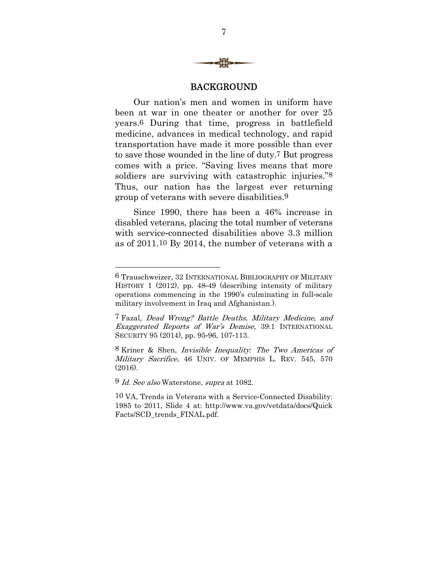

#### BACKGROUND

Our nation's men and women in uniform have been at war in one theater or another for over 25 years.6 During that time, progress in battlefield medicine, advances in medical technology, and rapid transportation have made it more possible than ever to save those wounded in the line of duty.7 But progress comes with a price. "Saving lives means that more soldiers are surviving with catastrophic injuries."<sup>8</sup> Thus, our nation has the largest ever returning group of veterans with severe disabilities.9

Since 1990, there has been a 46% increase in disabled veterans, placing the total number of veterans with service-connected disabilities above 3.3 million as of 2011.10 By 2014, the number of veterans with a

<sup>6</sup> Trauschweizer, 32 INTERNATIONAL BIBLIOGRAPHY OF MILITARY HISTORY 1 (2012), pp. 48-49 (describing intensity of military operations commencing in the 1990's culminating in full-scale military involvement in Iraq and Afghanistan.).

<sup>7</sup> Fazal, Dead Wrong? Battle Deaths, Military Medicine, and Exaggerated Reports of War's Demise, 39:1 INTERNATIONAL SECURITY 95 (2014), pp. 95-96, 107-113.

<sup>8</sup> Kriner & Shen, Invisible Inequality*:* The Two Americas of Military Sacrifice, 46 UNIV. OF MEMPHIS L. REV. 545, 570  $(2016)$ 

<sup>9</sup> *Id. See also* Waterstone, *supra* at 1082.

<sup>10</sup> VA, Trends in Veterans with a Service-Connected Disability: 1985 to 2011, Slide 4 at: http://www.va.gov/vetdata/docs/Quick Facts/SCD trends FINAL.pdf.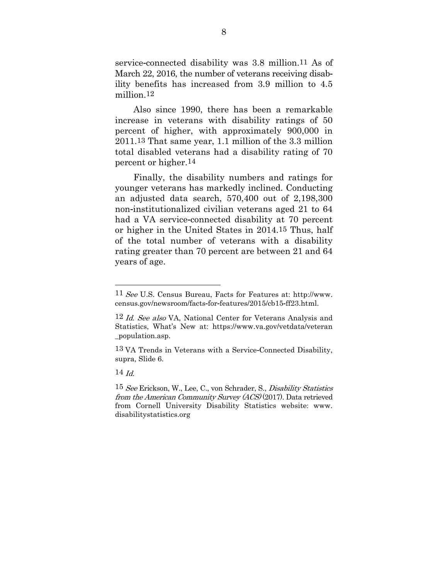service-connected disability was 3.8 million.11 As of March 22, 2016, the number of veterans receiving disability benefits has increased from 3.9 million to 4.5 million 12

Also since 1990, there has been a remarkable increase in veterans with disability ratings of 50 percent of higher, with approximately 900,000 in 2011.13 That same year, 1.1 million of the 3.3 million total disabled veterans had a disability rating of 70 percent or higher.14

Finally, the disability numbers and ratings for younger veterans has markedly inclined. Conducting an adjusted data search, 570,400 out of 2,198,300 non-institutionalized civilian veterans aged 21 to 64 had a VA service-connected disability at 70 percent or higher in the United States in 2014.15 Thus, half of the total number of veterans with a disability rating greater than 70 percent are between 21 and 64 years of age.

14  $Id$ 

-

<sup>11</sup> See U.S. Census Bureau, Facts for Features at: http://www. census.gov/newsroom/facts-for-features/2015/cb15-ff23.html.

<sup>12</sup> Id. See also VA, National Center for Veterans Analysis and Statistics, What's New at: https://www.va.gov/vetdata/veteran \_population.asp.

<sup>13</sup> VA Trends in Veterans with a Service-Connected Disability, supra, Slide 6.

<sup>&</sup>lt;sup>15</sup> See Erickson, W., Lee, C., von Schrader, S., *Disability Statistics* from the American Community Survey (ACS) (2017). Data retrieved from Cornell University Disability Statistics website: www. disabilitystatistics.org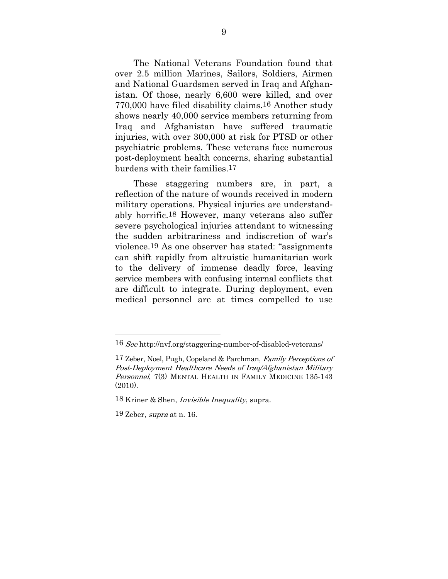The National Veterans Foundation found that over 2.5 million Marines, Sailors, Soldiers, Airmen and National Guardsmen served in Iraq and Afghanistan. Of those, nearly 6,600 were killed, and over 770,000 have filed disability claims.16 Another study shows nearly 40,000 service members returning from Iraq and Afghanistan have suffered traumatic injuries, with over 300,000 at risk for PTSD or other psychiatric problems. These veterans face numerous post-deployment health concerns, sharing substantial burdens with their families.17

These staggering numbers are, in part, a reflection of the nature of wounds received in modern military operations. Physical injuries are understandably horrific.18 However, many veterans also suffer severe psychological injuries attendant to witnessing the sudden arbitrariness and indiscretion of war's violence.19 As one observer has stated: "assignments can shift rapidly from altruistic humanitarian work to the delivery of immense deadly force, leaving service members with confusing internal conflicts that are difficult to integrate. During deployment, even medical personnel are at times compelled to use

<sup>16</sup> See http://nvf.org/staggering-number-of-disabled-veterans/

<sup>17</sup> Zeber, Noel, Pugh, Copeland & Parchman, Family Perceptions of Post*-*Deployment Healthcare Needs of Iraq/Afghanistan Military Personnel, 7(3) MENTAL HEALTH IN FAMILY MEDICINE 135-143 (2010).

<sup>18</sup> Kriner & Shen, Invisible Inequality, supra.

 $19$  Zeber, *supra* at n. 16.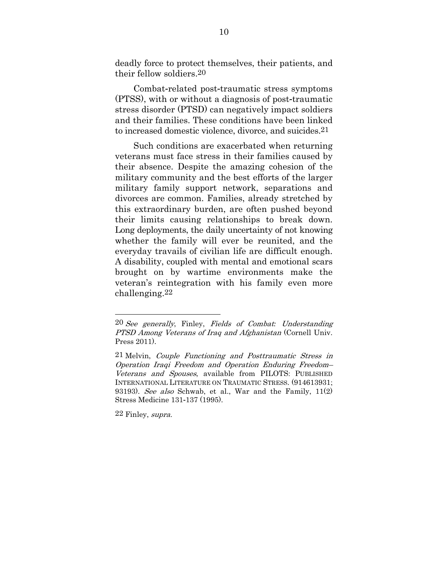deadly force to protect themselves, their patients, and their fellow soldiers.20

Combat-related post-traumatic stress symptoms (PTSS), with or without a diagnosis of post-traumatic stress disorder (PTSD) can negatively impact soldiers and their families. These conditions have been linked to increased domestic violence, divorce, and suicides.21

Such conditions are exacerbated when returning veterans must face stress in their families caused by their absence. Despite the amazing cohesion of the military community and the best efforts of the larger military family support network, separations and divorces are common. Families, already stretched by this extraordinary burden, are often pushed beyond their limits causing relationships to break down. Long deployments, the daily uncertainty of not knowing whether the family will ever be reunited, and the everyday travails of civilian life are difficult enough. A disability, coupled with mental and emotional scars brought on by wartime environments make the veteran's reintegration with his family even more challenging.22

22 Finley, supra.

<sup>20</sup> See generally, Finley, Fields of Combat*:* Understanding PTSD Among Veterans of Iraq and Afghanistan (Cornell Univ. Press 2011).

<sup>21</sup> Melvin, Couple Functioning and Posttraumatic Stress in Operation Iraqi Freedom and Operation Enduring Freedom– Veterans and Spouses, available from PILOTS: PUBLISHED INTERNATIONAL LITERATURE ON TRAUMATIC STRESS. (914613931; 93193). See also Schwab, et al., War and the Family, 11(2) Stress Medicine 131-137 (1995).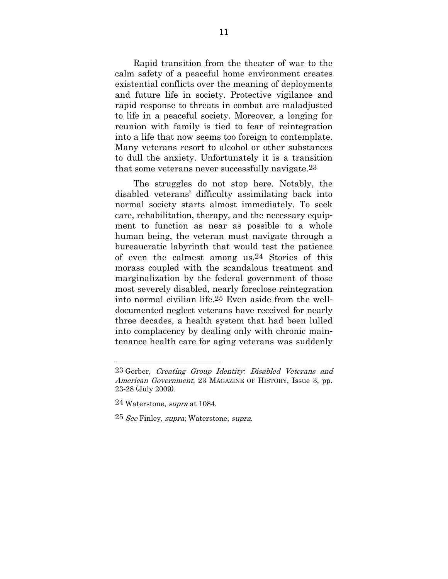Rapid transition from the theater of war to the calm safety of a peaceful home environment creates existential conflicts over the meaning of deployments and future life in society. Protective vigilance and rapid response to threats in combat are maladjusted to life in a peaceful society. Moreover, a longing for reunion with family is tied to fear of reintegration into a life that now seems too foreign to contemplate. Many veterans resort to alcohol or other substances to dull the anxiety. Unfortunately it is a transition that some veterans never successfully navigate.23

The struggles do not stop here. Notably, the disabled veterans' difficulty assimilating back into normal society starts almost immediately. To seek care, rehabilitation, therapy, and the necessary equipment to function as near as possible to a whole human being, the veteran must navigate through a bureaucratic labyrinth that would test the patience of even the calmest among us.24 Stories of this morass coupled with the scandalous treatment and marginalization by the federal government of those most severely disabled, nearly foreclose reintegration into normal civilian life.25 Even aside from the welldocumented neglect veterans have received for nearly three decades, a health system that had been lulled into complacency by dealing only with chronic maintenance health care for aging veterans was suddenly

-

<sup>23</sup> Gerber, Creating Group Identity*:* Disabled Veterans and American Government, 23 MAGAZINE OF HISTORY, Issue 3, pp. 23-28 (July 2009).

<sup>24</sup> Waterstone, *supra* at 1084.

<sup>25</sup> See Finley, *supra*; Waterstone, *supra*.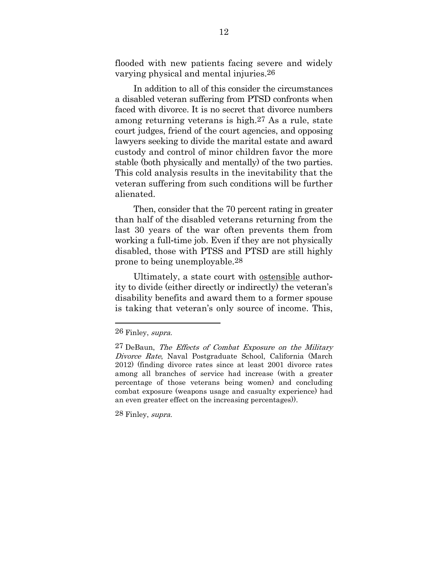flooded with new patients facing severe and widely varying physical and mental injuries.26

In addition to all of this consider the circumstances a disabled veteran suffering from PTSD confronts when faced with divorce. It is no secret that divorce numbers among returning veterans is high.27 As a rule, state court judges, friend of the court agencies, and opposing lawyers seeking to divide the marital estate and award custody and control of minor children favor the more stable (both physically and mentally) of the two parties. This cold analysis results in the inevitability that the veteran suffering from such conditions will be further alienated.

Then, consider that the 70 percent rating in greater than half of the disabled veterans returning from the last 30 years of the war often prevents them from working a full-time job. Even if they are not physically disabled, those with PTSS and PTSD are still highly prone to being unemployable.28

Ultimately, a state court with ostensible authority to divide (either directly or indirectly) the veteran's disability benefits and award them to a former spouse is taking that veteran's only source of income. This,

<u>.</u>

28 Finley, supra.

<sup>26</sup> Finley, *supra.* 

<sup>27</sup> DeBaun, The Effects of Combat Exposure on the Military Divorce Rate, Naval Postgraduate School, California (March 2012) (finding divorce rates since at least 2001 divorce rates among all branches of service had increase (with a greater percentage of those veterans being women) and concluding combat exposure (weapons usage and casualty experience) had an even greater effect on the increasing percentages)).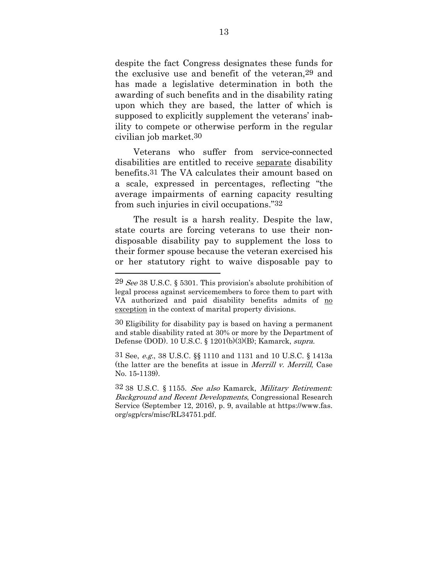despite the fact Congress designates these funds for the exclusive use and benefit of the veteran,29 and has made a legislative determination in both the awarding of such benefits and in the disability rating upon which they are based, the latter of which is supposed to explicitly supplement the veterans' inability to compete or otherwise perform in the regular civilian job market.30

Veterans who suffer from service-connected disabilities are entitled to receive separate disability benefits.31 The VA calculates their amount based on a scale, expressed in percentages, reflecting "the average impairments of earning capacity resulting from such injuries in civil occupations."32

The result is a harsh reality. Despite the law, state courts are forcing veterans to use their nondisposable disability pay to supplement the loss to their former spouse because the veteran exercised his or her statutory right to waive disposable pay to

<u>.</u>

30 Eligibility for disability pay is based on having a permanent and stable disability rated at 30% or more by the Department of Defense (DOD). 10 U.S.C. § 1201(b)(3)(B); Kamarck, *supra*.

31 See, e.g., 38 U.S.C. §§ 1110 and 1131 and 10 U.S.C. § 1413a (the latter are the benefits at issue in Merrill v. Merrill, Case No. 15-1139).

32 38 U.S.C. § 1155. See also Kamarck, Military Retirement*:* Background and Recent Developments, Congressional Research Service (September 12, 2016), p. 9, available at https://www.fas. org/sgp/crs/misc/RL34751.pdf.

<sup>29</sup>  $\text{See } 38 \text{ U.S. C. }$  § 5301. This provision's absolute prohibition of legal process against servicemembers to force them to part with VA authorized and paid disability benefits admits of no exception in the context of marital property divisions.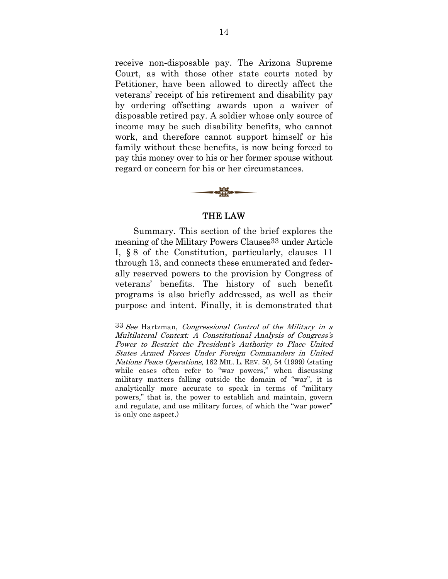receive non-disposable pay. The Arizona Supreme Court, as with those other state courts noted by Petitioner, have been allowed to directly affect the veterans' receipt of his retirement and disability pay by ordering offsetting awards upon a waiver of disposable retired pay. A soldier whose only source of income may be such disability benefits, who cannot work, and therefore cannot support himself or his family without these benefits, is now being forced to pay this money over to his or her former spouse without regard or concern for his or her circumstances.



#### THE LAW

Summary. This section of the brief explores the meaning of the Military Powers Clauses33 under Article I, § 8 of the Constitution, particularly, clauses 11 through 13, and connects these enumerated and federally reserved powers to the provision by Congress of veterans' benefits. The history of such benefit programs is also briefly addressed, as well as their purpose and intent. Finally, it is demonstrated that

<sup>33</sup> See Hartzman, Congressional Control of the Military in a Multilateral Context*:* A Constitutional Analysis of Congress's Power to Restrict the President's Authority to Place United States Armed Forces Under Foreign Commanders in United Nations Peace Operations, 162 MIL. L. REV. 50, 54 (1999) (stating while cases often refer to "war powers," when discussing military matters falling outside the domain of "war", it is analytically more accurate to speak in terms of "military powers," that is, the power to establish and maintain, govern and regulate, and use military forces, of which the "war power" is only one aspect.)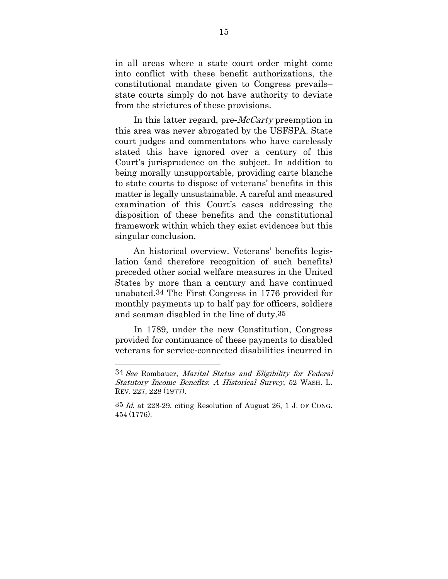in all areas where a state court order might come into conflict with these benefit authorizations, the constitutional mandate given to Congress prevails– state courts simply do not have authority to deviate from the strictures of these provisions.

In this latter regard, pre-*McCarty* preemption in this area was never abrogated by the USFSPA. State court judges and commentators who have carelessly stated this have ignored over a century of this Court's jurisprudence on the subject. In addition to being morally unsupportable, providing carte blanche to state courts to dispose of veterans' benefits in this matter is legally unsustainable. A careful and measured examination of this Court's cases addressing the disposition of these benefits and the constitutional framework within which they exist evidences but this singular conclusion.

An historical overview. Veterans' benefits legislation (and therefore recognition of such benefits) preceded other social welfare measures in the United States by more than a century and have continued unabated.34 The First Congress in 1776 provided for monthly payments up to half pay for officers, soldiers and seaman disabled in the line of duty.35

In 1789, under the new Constitution, Congress provided for continuance of these payments to disabled veterans for service-connected disabilities incurred in

<sup>34</sup> See Rombauer, Marital Status and Eligibility for Federal Statutory Income Benefits*:* A Historical Survey, 52 WASH. L. REV. 227, 228 (1977).

 $35$  *Id.* at 228-29, citing Resolution of August 26, 1 J. OF CONG. 454 (1776).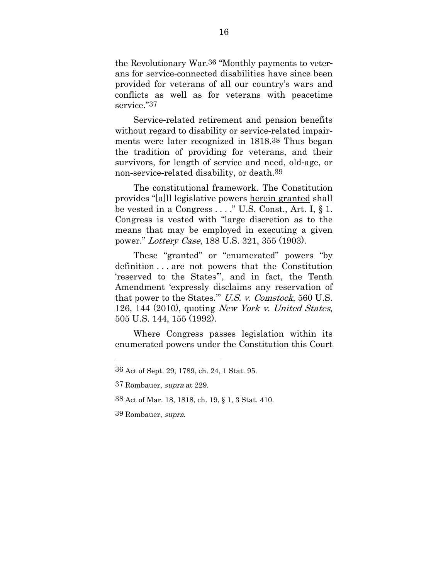the Revolutionary War.36 "Monthly payments to veterans for service-connected disabilities have since been provided for veterans of all our country's wars and conflicts as well as for veterans with peacetime service."37

Service-related retirement and pension benefits without regard to disability or service-related impairments were later recognized in 1818.38 Thus began the tradition of providing for veterans, and their survivors, for length of service and need, old-age, or non-service-related disability, or death.39

The constitutional framework. The Constitution provides "[a]ll legislative powers herein granted shall be vested in a Congress . . . ." U.S. Const., Art. I, § 1. Congress is vested with "large discretion as to the means that may be employed in executing a given power." Lottery Case, 188 U.S. 321, 355 (1903).

These "granted" or "enumerated" powers "by definition . . . are not powers that the Constitution 'reserved to the States'", and in fact, the Tenth Amendment 'expressly disclaims any reservation of that power to the States.'" U.S. v. Comstock, 560 U.S. 126, 144 (2010), quoting New York v. United States, 505 U.S. 144, 155 (1992).

Where Congress passes legislation within its enumerated powers under the Constitution this Court

39 Rombauer, supra.

<sup>36</sup> Act of Sept. 29, 1789, ch. 24, 1 Stat. 95.

<sup>37</sup> Rombauer, supra at 229.

<sup>38</sup> Act of Mar. 18, 1818, ch. 19, § 1, 3 Stat. 410.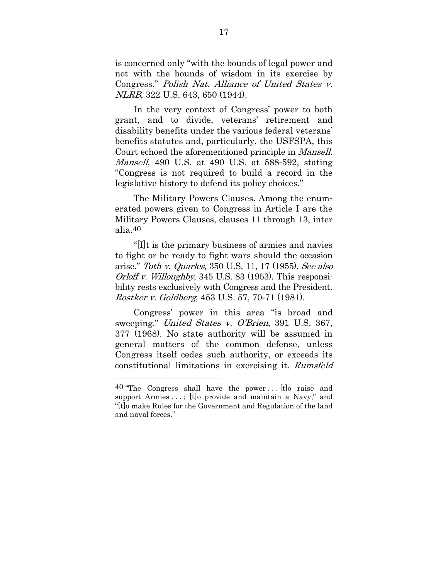is concerned only "with the bounds of legal power and not with the bounds of wisdom in its exercise by Congress." Polish Nat. Alliance of United States v. NLRB, 322 U.S. 643, 650 (1944).

In the very context of Congress' power to both grant, and to divide, veterans' retirement and disability benefits under the various federal veterans' benefits statutes and, particularly, the USFSPA, this Court echoed the aforementioned principle in Mansell. Mansell, 490 U.S. at 490 U.S. at 588-592, stating "Congress is not required to build a record in the legislative history to defend its policy choices."

The Military Powers Clauses. Among the enumerated powers given to Congress in Article I are the Military Powers Clauses, clauses 11 through 13, inter alia.40

"[I]t is the primary business of armies and navies to fight or be ready to fight wars should the occasion arise." Toth v. Quarles, 350 U.S. 11, 17 (1955). See also Orloff v. Willoughby, 345 U.S. 83 (1953). This responsibility rests exclusively with Congress and the President. Rostker v. Goldberg, 453 U.S. 57, 70-71 (1981).

Congress' power in this area "is broad and sweeping." United States v. O'Brien, 391 U.S. 367, 377 (1968). No state authority will be assumed in general matters of the common defense, unless Congress itself cedes such authority, or exceeds its constitutional limitations in exercising it. Rumsfeld

 $40$  "The Congress shall have the power... [t] o raise and support Armies . . . ; [t]o provide and maintain a Navy;" and "[t]o make Rules for the Government and Regulation of the land and naval forces."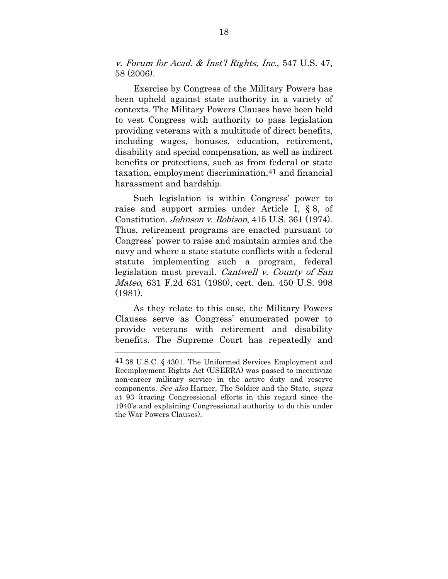v. Forum for Acad. & Inst'l Rights, Inc., 547 U.S. 47, 58 (2006).

Exercise by Congress of the Military Powers has been upheld against state authority in a variety of contexts. The Military Powers Clauses have been held to vest Congress with authority to pass legislation providing veterans with a multitude of direct benefits, including wages, bonuses, education, retirement, disability and special compensation, as well as indirect benefits or protections, such as from federal or state taxation, employment discrimination,41 and financial harassment and hardship.

Such legislation is within Congress' power to raise and support armies under Article I, § 8, of Constitution. Johnson v. Robison, 415 U.S. 361 (1974). Thus, retirement programs are enacted pursuant to Congress' power to raise and maintain armies and the navy and where a state statute conflicts with a federal statute implementing such a program, federal legislation must prevail. Cantwell v. County of San Mateo, 631 F.2d 631 (1980), cert. den. 450 U.S. 998  $(1981)$ 

As they relate to this case, the Military Powers Clauses serve as Congress' enumerated power to provide veterans with retirement and disability benefits. The Supreme Court has repeatedly and

<sup>41 38</sup> U.S.C. § 4301. The Uniformed Services Employment and Reemployment Rights Act (USERRA) was passed to incentivize non-career military service in the active duty and reserve components. See also Harner, The Soldier and the State, supra at 93 (tracing Congressional efforts in this regard since the 1940's and explaining Congressional authority to do this under the War Powers Clauses).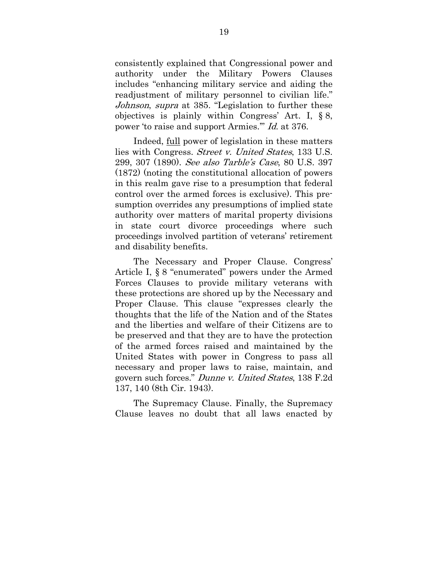consistently explained that Congressional power and authority under the Military Powers Clauses includes "enhancing military service and aiding the readjustment of military personnel to civilian life." Johnson, supra at 385. "Legislation to further these objectives is plainly within Congress' Art. I, § 8, power 'to raise and support Armies.'" Id. at 376.

Indeed, full power of legislation in these matters lies with Congress. Street v. United States, 133 U.S. 299, 307 (1890). See also Tarble's Case, 80 U.S. 397 (1872) (noting the constitutional allocation of powers in this realm gave rise to a presumption that federal control over the armed forces is exclusive). This presumption overrides any presumptions of implied state authority over matters of marital property divisions in state court divorce proceedings where such proceedings involved partition of veterans' retirement and disability benefits.

The Necessary and Proper Clause. Congress' Article I, § 8 "enumerated" powers under the Armed Forces Clauses to provide military veterans with these protections are shored up by the Necessary and Proper Clause. This clause "expresses clearly the thoughts that the life of the Nation and of the States and the liberties and welfare of their Citizens are to be preserved and that they are to have the protection of the armed forces raised and maintained by the United States with power in Congress to pass all necessary and proper laws to raise, maintain, and govern such forces." Dunne v. United States, 138 F.2d 137, 140 (8th Cir. 1943).

The Supremacy Clause. Finally, the Supremacy Clause leaves no doubt that all laws enacted by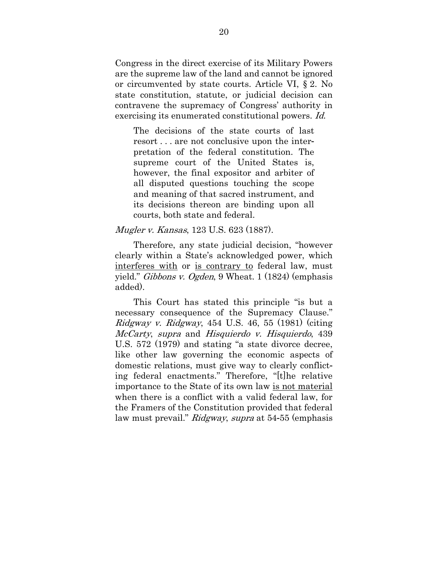Congress in the direct exercise of its Military Powers are the supreme law of the land and cannot be ignored or circumvented by state courts. Article VI, § 2. No state constitution, statute, or judicial decision can contravene the supremacy of Congress' authority in exercising its enumerated constitutional powers. Id.

The decisions of the state courts of last resort . . . are not conclusive upon the interpretation of the federal constitution. The supreme court of the United States is, however, the final expositor and arbiter of all disputed questions touching the scope and meaning of that sacred instrument, and its decisions thereon are binding upon all courts, both state and federal.

Mugler v. Kansas, 123 U.S. 623 (1887).

Therefore, any state judicial decision, "however clearly within a State's acknowledged power, which interferes with or is contrary to federal law, must yield." Gibbons v. Ogden, 9 Wheat. 1 (1824) (emphasis added).

This Court has stated this principle "is but a necessary consequence of the Supremacy Clause."  $Ridgway$  v.  $Ridgway$ , 454 U.S. 46, 55 (1981) (citing McCarty, supra and Hisquierdo v. Hisquierdo, 439 U.S. 572 (1979) and stating "a state divorce decree, like other law governing the economic aspects of domestic relations, must give way to clearly conflicting federal enactments." Therefore, "[t]he relative importance to the State of its own law is not material when there is a conflict with a valid federal law, for the Framers of the Constitution provided that federal law must prevail." Ridgway, supra at 54-55 (emphasis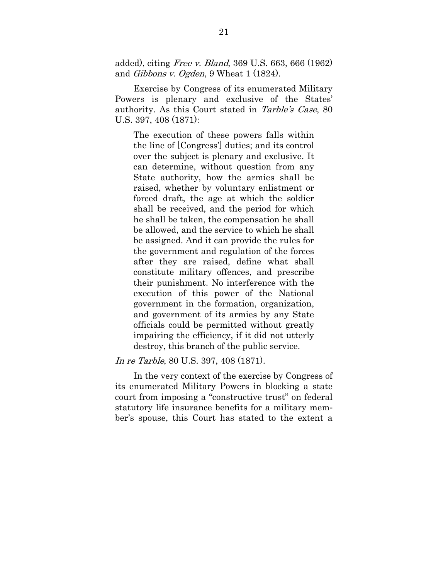added), citing Free v. Bland, 369 U.S. 663, 666 (1962) and *Gibbons v. Ogden*, 9 Wheat 1 (1824).

Exercise by Congress of its enumerated Military Powers is plenary and exclusive of the States' authority. As this Court stated in Tarble's Case, 80 U.S. 397, 408 (1871):

The execution of these powers falls within the line of [Congress'] duties; and its control over the subject is plenary and exclusive. It can determine, without question from any State authority, how the armies shall be raised, whether by voluntary enlistment or forced draft, the age at which the soldier shall be received, and the period for which he shall be taken, the compensation he shall be allowed, and the service to which he shall be assigned. And it can provide the rules for the government and regulation of the forces after they are raised, define what shall constitute military offences, and prescribe their punishment. No interference with the execution of this power of the National government in the formation, organization, and government of its armies by any State officials could be permitted without greatly impairing the efficiency, if it did not utterly destroy, this branch of the public service.

In re Tarble, 80 U.S. 397, 408 (1871).

In the very context of the exercise by Congress of its enumerated Military Powers in blocking a state court from imposing a "constructive trust" on federal statutory life insurance benefits for a military member's spouse, this Court has stated to the extent a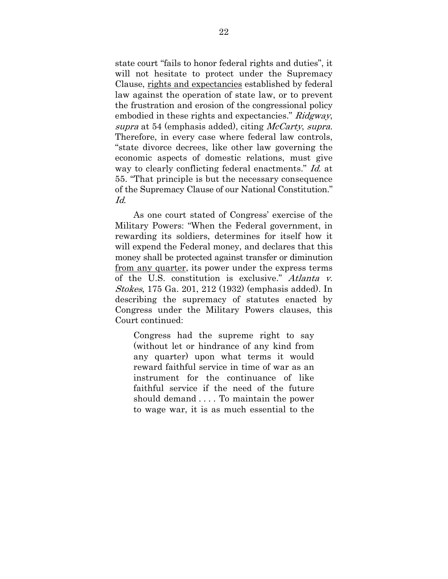state court "fails to honor federal rights and duties", it will not hesitate to protect under the Supremacy Clause, rights and expectancies established by federal law against the operation of state law, or to prevent the frustration and erosion of the congressional policy embodied in these rights and expectancies." Ridgway, supra at 54 (emphasis added), citing McCarty, supra. Therefore, in every case where federal law controls, "state divorce decrees, like other law governing the economic aspects of domestic relations, must give way to clearly conflicting federal enactments." Id. at 55. "That principle is but the necessary consequence of the Supremacy Clause of our National Constitution."  $Id$ 

As one court stated of Congress' exercise of the Military Powers: "When the Federal government, in rewarding its soldiers, determines for itself how it will expend the Federal money, and declares that this money shall be protected against transfer or diminution from any quarter, its power under the express terms of the U.S. constitution is exclusive." Atlanta v. Stokes, 175 Ga. 201, 212 (1932) (emphasis added). In describing the supremacy of statutes enacted by Congress under the Military Powers clauses, this Court continued:

Congress had the supreme right to say (without let or hindrance of any kind from any quarter) upon what terms it would reward faithful service in time of war as an instrument for the continuance of like faithful service if the need of the future should demand . . . . To maintain the power to wage war, it is as much essential to the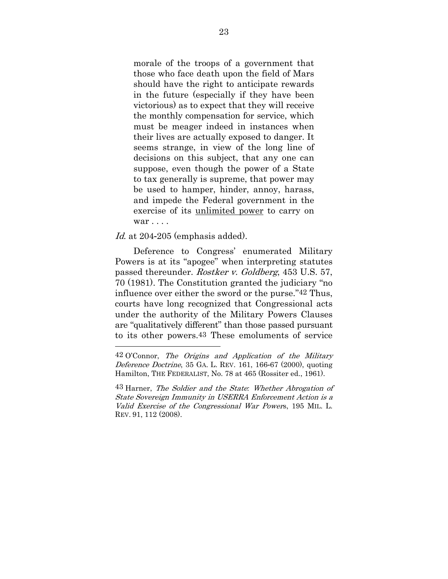morale of the troops of a government that those who face death upon the field of Mars should have the right to anticipate rewards in the future (especially if they have been victorious) as to expect that they will receive the monthly compensation for service, which must be meager indeed in instances when their lives are actually exposed to danger. It seems strange, in view of the long line of decisions on this subject, that any one can suppose, even though the power of a State to tax generally is supreme, that power may be used to hamper, hinder, annoy, harass, and impede the Federal government in the exercise of its unlimited power to carry on war . . . .

Id. at 204-205 (emphasis added).

<u>.</u>

Deference to Congress' enumerated Military Powers is at its "apogee" when interpreting statutes passed thereunder. Rostker v. Goldberg, 453 U.S. 57, 70 (1981). The Constitution granted the judiciary "no influence over either the sword or the purse."42 Thus, courts have long recognized that Congressional acts under the authority of the Military Powers Clauses are "qualitatively different" than those passed pursuant to its other powers.43 These emoluments of service

 $42$  O'Connor, The Origins and Application of the Military Deference Doctrine, 35 GA. L. REV. 161, 166-67 (2000), quoting Hamilton, THE FEDERALIST, No. 78 at 465 (Rossiter ed., 1961).

<sup>43</sup> Harner, The Soldier and the State*:* Whether Abrogation of State Sovereign Immunity in USERRA Enforcement Action is a Valid Exercise of the Congressional War Powers, 195 MIL. L. REV. 91, 112 (2008).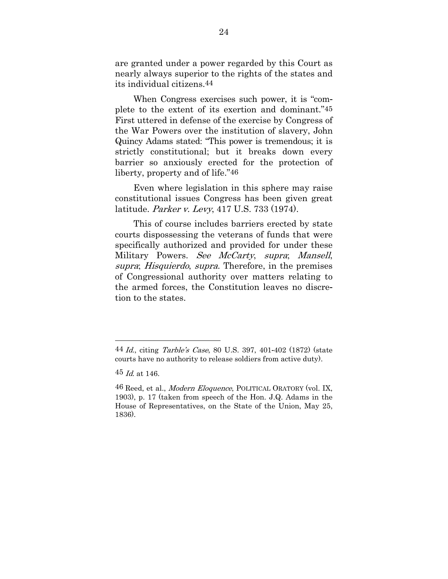are granted under a power regarded by this Court as nearly always superior to the rights of the states and its individual citizens.44

When Congress exercises such power, it is "complete to the extent of its exertion and dominant."45 First uttered in defense of the exercise by Congress of the War Powers over the institution of slavery, John Quincy Adams stated: "This power is tremendous; it is strictly constitutional; but it breaks down every barrier so anxiously erected for the protection of liberty, property and of life."46

Even where legislation in this sphere may raise constitutional issues Congress has been given great latitude. Parker v. Levy, 417 U.S. 733 (1974).

This of course includes barriers erected by state courts dispossessing the veterans of funds that were specifically authorized and provided for under these Military Powers. See McCarty, supra; Mansell, supra; Hisquierdo, supra. Therefore, in the premises of Congressional authority over matters relating to the armed forces, the Constitution leaves no discretion to the states.

-

<sup>44</sup> Id., citing Tarble's Case, 80 U.S. 397, 401-402 (1872) (state courts have no authority to release soldiers from active duty).

 $45$  *Id.* at 146.

<sup>46</sup> Reed, et al., *Modern Eloquence*, POLITICAL ORATORY (vol. IX, 1903), p. 17 (taken from speech of the Hon. J.Q. Adams in the House of Representatives, on the State of the Union, May 25, 1836).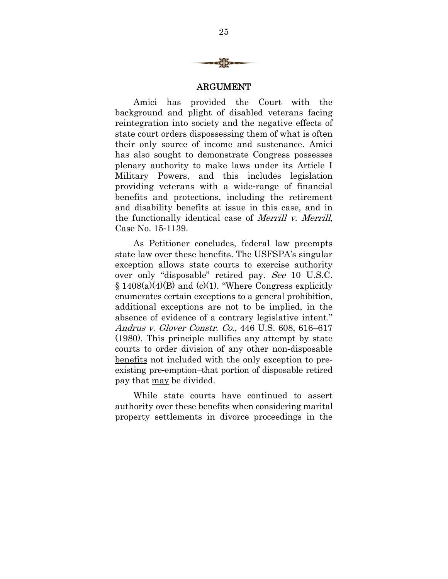

#### ARGUMENT

Amici has provided the Court with the background and plight of disabled veterans facing reintegration into society and the negative effects of state court orders dispossessing them of what is often their only source of income and sustenance. Amici has also sought to demonstrate Congress possesses plenary authority to make laws under its Article I Military Powers, and this includes legislation providing veterans with a wide-range of financial benefits and protections, including the retirement and disability benefits at issue in this case, and in the functionally identical case of Merrill v. Merrill, Case No. 15-1139.

As Petitioner concludes, federal law preempts state law over these benefits. The USFSPA's singular exception allows state courts to exercise authority over only "disposable" retired pay. See 10 U.S.C.  $§ 1408(a)(4)(B)$  and (c)(1). "Where Congress explicitly enumerates certain exceptions to a general prohibition, additional exceptions are not to be implied, in the absence of evidence of a contrary legislative intent." Andrus v. Glover Constr. Co., 446 U.S. 608, 616–617 (1980). This principle nullifies any attempt by state courts to order division of any other non-disposable benefits not included with the only exception to preexisting pre-emption–that portion of disposable retired pay that may be divided.

While state courts have continued to assert authority over these benefits when considering marital property settlements in divorce proceedings in the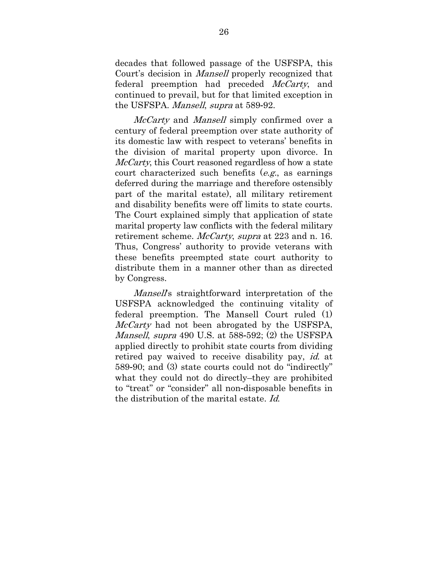decades that followed passage of the USFSPA, this Court's decision in Mansell properly recognized that federal preemption had preceded *McCarty*, and continued to prevail, but for that limited exception in the USFSPA. Mansell, supra at 589-92.

McCarty and Mansell simply confirmed over a century of federal preemption over state authority of its domestic law with respect to veterans' benefits in the division of marital property upon divorce. In McCarty, this Court reasoned regardless of how a state court characterized such benefits  $(e.g., a)$  as earnings deferred during the marriage and therefore ostensibly part of the marital estate), all military retirement and disability benefits were off limits to state courts. The Court explained simply that application of state marital property law conflicts with the federal military retirement scheme. *McCarty, supra* at 223 and n. 16. Thus, Congress' authority to provide veterans with these benefits preempted state court authority to distribute them in a manner other than as directed by Congress.

Mansell's straightforward interpretation of the USFSPA acknowledged the continuing vitality of federal preemption. The Mansell Court ruled (1) McCarty had not been abrogated by the USFSPA, Mansell, supra 490 U.S. at 588-592; (2) the USFSPA applied directly to prohibit state courts from dividing retired pay waived to receive disability pay, *id.* at 589-90; and (3) state courts could not do "indirectly" what they could not do directly–they are prohibited to "treat" or "consider" all non-disposable benefits in the distribution of the marital estate. Id.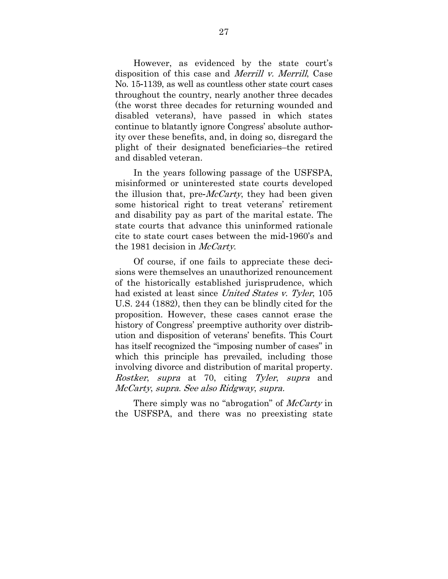However, as evidenced by the state court's disposition of this case and Merrill v. Merrill, Case No. 15-1139, as well as countless other state court cases throughout the country, nearly another three decades (the worst three decades for returning wounded and disabled veterans), have passed in which states continue to blatantly ignore Congress' absolute authority over these benefits, and, in doing so, disregard the plight of their designated beneficiaries–the retired and disabled veteran.

In the years following passage of the USFSPA, misinformed or uninterested state courts developed the illusion that, pre-*McCarty*, they had been given some historical right to treat veterans' retirement and disability pay as part of the marital estate. The state courts that advance this uninformed rationale cite to state court cases between the mid-1960's and the 1981 decision in *McCarty*.

Of course, if one fails to appreciate these decisions were themselves an unauthorized renouncement of the historically established jurisprudence, which had existed at least since United States v. Tyler, 105 U.S. 244 (1882), then they can be blindly cited for the proposition. However, these cases cannot erase the history of Congress' preemptive authority over distribution and disposition of veterans' benefits. This Court has itself recognized the "imposing number of cases" in which this principle has prevailed, including those involving divorce and distribution of marital property. Rostker, supra at 70, citing Tyler, supra and McCarty, supra. See also Ridgway, supra.

There simply was no "abrogation" of *McCarty* in the USFSPA, and there was no preexisting state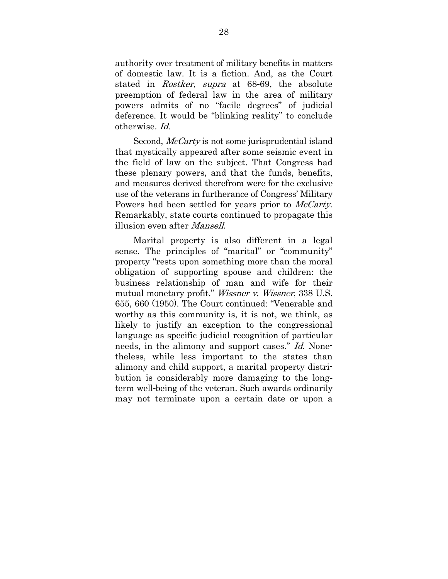authority over treatment of military benefits in matters of domestic law. It is a fiction. And, as the Court stated in Rostker, supra at 68-69, the absolute preemption of federal law in the area of military powers admits of no "facile degrees" of judicial deference. It would be "blinking reality" to conclude otherwise. Id.

Second, *McCarty* is not some jurisprudential island that mystically appeared after some seismic event in the field of law on the subject. That Congress had these plenary powers, and that the funds, benefits, and measures derived therefrom were for the exclusive use of the veterans in furtherance of Congress' Military Powers had been settled for years prior to *McCarty*. Remarkably, state courts continued to propagate this illusion even after *Mansell*.

Marital property is also different in a legal sense. The principles of "marital" or "community" property "rests upon something more than the moral obligation of supporting spouse and children: the business relationship of man and wife for their mutual monetary profit." Wissner v. Wissner, 338 U.S. 655, 660 (1950). The Court continued: "Venerable and worthy as this community is, it is not, we think, as likely to justify an exception to the congressional language as specific judicial recognition of particular needs, in the alimony and support cases." Id. Nonetheless, while less important to the states than alimony and child support, a marital property distribution is considerably more damaging to the longterm well-being of the veteran. Such awards ordinarily may not terminate upon a certain date or upon a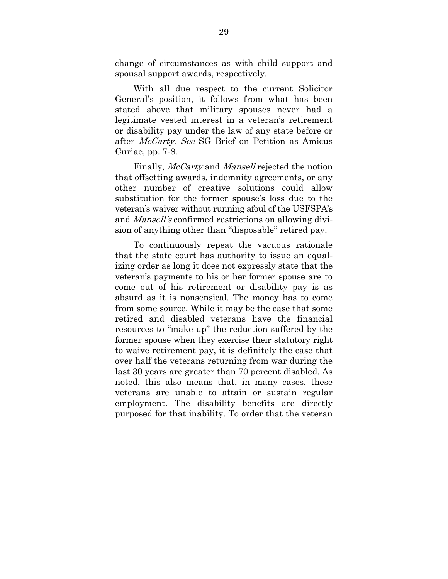change of circumstances as with child support and spousal support awards, respectively.

With all due respect to the current Solicitor General's position, it follows from what has been stated above that military spouses never had a legitimate vested interest in a veteran's retirement or disability pay under the law of any state before or after *McCarty. See* SG Brief on Petition as Amicus Curiae, pp. 7-8.

Finally, *McCarty* and *Mansell* rejected the notion that offsetting awards, indemnity agreements, or any other number of creative solutions could allow substitution for the former spouse's loss due to the veteran's waiver without running afoul of the USFSPA's and Mansell's confirmed restrictions on allowing division of anything other than "disposable" retired pay.

To continuously repeat the vacuous rationale that the state court has authority to issue an equalizing order as long it does not expressly state that the veteran's payments to his or her former spouse are to come out of his retirement or disability pay is as absurd as it is nonsensical. The money has to come from some source. While it may be the case that some retired and disabled veterans have the financial resources to "make up" the reduction suffered by the former spouse when they exercise their statutory right to waive retirement pay, it is definitely the case that over half the veterans returning from war during the last 30 years are greater than 70 percent disabled. As noted, this also means that, in many cases, these veterans are unable to attain or sustain regular employment. The disability benefits are directly purposed for that inability. To order that the veteran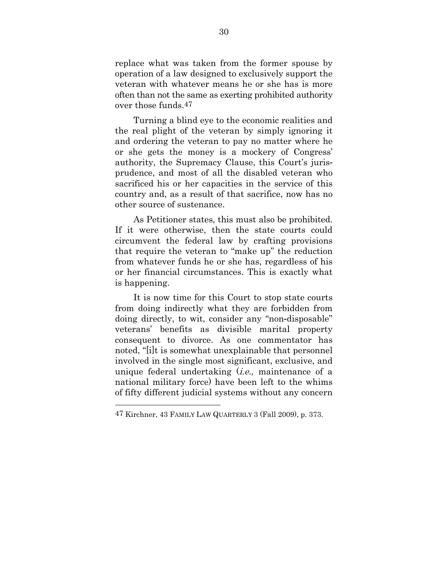replace what was taken from the former spouse by operation of a law designed to exclusively support the veteran with whatever means he or she has is more often than not the same as exerting prohibited authority over those funds.47

Turning a blind eye to the economic realities and the real plight of the veteran by simply ignoring it and ordering the veteran to pay no matter where he or she gets the money is a mockery of Congress' authority, the Supremacy Clause, this Court's jurisprudence, and most of all the disabled veteran who sacrificed his or her capacities in the service of this country and, as a result of that sacrifice, now has no other source of sustenance.

As Petitioner states, this must also be prohibited. If it were otherwise, then the state courts could circumvent the federal law by crafting provisions that require the veteran to "make up" the reduction from whatever funds he or she has, regardless of his or her financial circumstances. This is exactly what is happening.

It is now time for this Court to stop state courts from doing indirectly what they are forbidden from doing directly, to wit, consider any "non-disposable" veterans' benefits as divisible marital property consequent to divorce. As one commentator has noted, "[i]t is somewhat unexplainable that personnel involved in the single most significant, exclusive, and unique federal undertaking *(i.e.*, maintenance of a national military force) have been left to the whims of fifty different judicial systems without any concern

-

<sup>47</sup> Kirchner, 43 FAMILY LAW QUARTERLY 3 (Fall 2009), p. 373.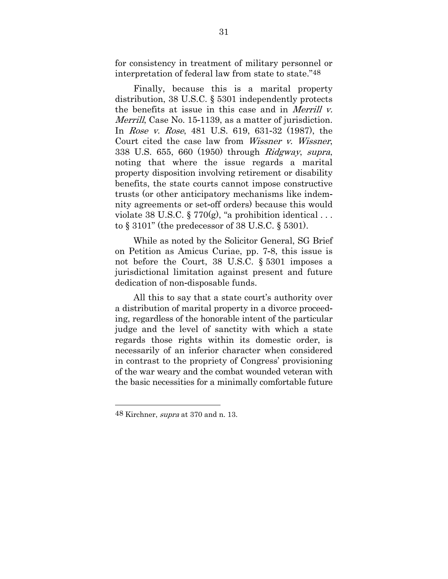for consistency in treatment of military personnel or interpretation of federal law from state to state."48

Finally, because this is a marital property distribution, 38 U.S.C. § 5301 independently protects the benefits at issue in this case and in *Merrill v*. Merrill, Case No. 15-1139, as a matter of jurisdiction. In Rose v. Rose, 481 U.S. 619, 631-32 (1987), the Court cited the case law from Wissner v. Wissner, 338 U.S. 655, 660 (1950) through Ridgway, supra, noting that where the issue regards a marital property disposition involving retirement or disability benefits, the state courts cannot impose constructive trusts (or other anticipatory mechanisms like indemnity agreements or set-off orders) because this would violate 38 U.S.C. § 770 $(g)$ , "a prohibition identical ... to § 3101" (the predecessor of 38 U.S.C. § 5301).

While as noted by the Solicitor General, SG Brief on Petition as Amicus Curiae, pp. 7-8, this issue is not before the Court, 38 U.S.C. § 5301 imposes a jurisdictional limitation against present and future dedication of non-disposable funds.

All this to say that a state court's authority over a distribution of marital property in a divorce proceeding, regardless of the honorable intent of the particular judge and the level of sanctity with which a state regards those rights within its domestic order, is necessarily of an inferior character when considered in contrast to the propriety of Congress' provisioning of the war weary and the combat wounded veteran with the basic necessities for a minimally comfortable future

-

 $48$  Kirchner, *supra* at 370 and n. 13.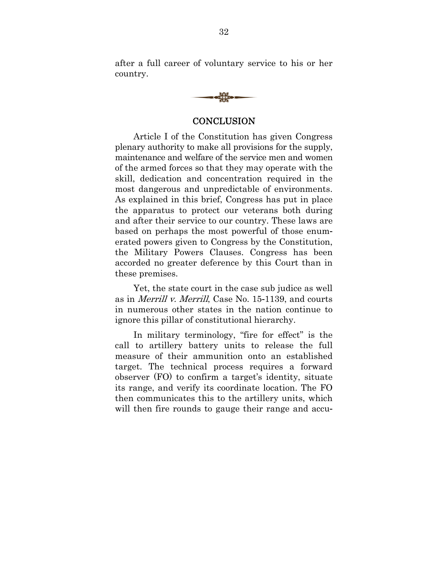after a full career of voluntary service to his or her country.



#### **CONCLUSION**

Article I of the Constitution has given Congress plenary authority to make all provisions for the supply, maintenance and welfare of the service men and women of the armed forces so that they may operate with the skill, dedication and concentration required in the most dangerous and unpredictable of environments. As explained in this brief, Congress has put in place the apparatus to protect our veterans both during and after their service to our country. These laws are based on perhaps the most powerful of those enumerated powers given to Congress by the Constitution, the Military Powers Clauses. Congress has been accorded no greater deference by this Court than in these premises.

Yet, the state court in the case sub judice as well as in Merrill v. Merrill, Case No. 15-1139, and courts in numerous other states in the nation continue to ignore this pillar of constitutional hierarchy.

In military terminology, "fire for effect" is the call to artillery battery units to release the full measure of their ammunition onto an established target. The technical process requires a forward observer (FO) to confirm a target's identity, situate its range, and verify its coordinate location. The FO then communicates this to the artillery units, which will then fire rounds to gauge their range and accu